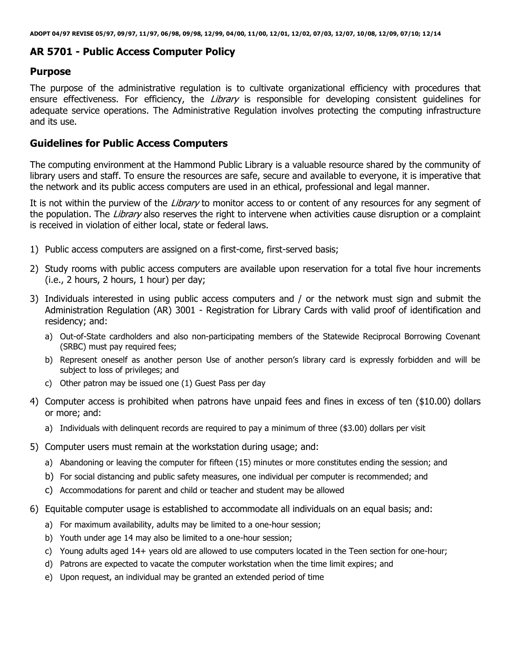#### **AR 5701 - Public Access Computer Policy**

#### **Purpose**

The purpose of the administrative regulation is to cultivate organizational efficiency with procedures that ensure effectiveness. For efficiency, the Library is responsible for developing consistent quidelines for adequate service operations. The Administrative Regulation involves protecting the computing infrastructure and its use.

#### **Guidelines for Public Access Computers**

The computing environment at the Hammond Public Library is a valuable resource shared by the community of library users and staff. To ensure the resources are safe, secure and available to everyone, it is imperative that the network and its public access computers are used in an ethical, professional and legal manner.

It is not within the purview of the Library to monitor access to or content of any resources for any segment of the population. The Library also reserves the right to intervene when activities cause disruption or a complaint is received in violation of either local, state or federal laws.

- 1) Public access computers are assigned on a first-come, first-served basis;
- 2) Study rooms with public access computers are available upon reservation for a total five hour increments (i.e., 2 hours, 2 hours, 1 hour) per day;
- 3) Individuals interested in using public access computers and / or the network must sign and submit the Administration Regulation (AR) 3001 - Registration for Library Cards with valid proof of identification and residency; and:
	- a) Out-of-State cardholders and also non-participating members of the Statewide Reciprocal Borrowing Covenant (SRBC) must pay required fees;
	- b) Represent oneself as another person Use of another person's library card is expressly forbidden and will be subject to loss of privileges; and
	- c) Other patron may be issued one (1) Guest Pass per day
- 4) Computer access is prohibited when patrons have unpaid fees and fines in excess of ten (\$10.00) dollars or more; and:
	- a) Individuals with delinquent records are required to pay a minimum of three (\$3.00) dollars per visit
- 5) Computer users must remain at the workstation during usage; and:
	- a) Abandoning or leaving the computer for fifteen (15) minutes or more constitutes ending the session; and
	- b) For social distancing and public safety measures, one individual per computer is recommended; and
	- c) Accommodations for parent and child or teacher and student may be allowed
- 6) Equitable computer usage is established to accommodate all individuals on an equal basis; and:
	- a) For maximum availability, adults may be limited to a one-hour session;
	- b) Youth under age 14 may also be limited to a one-hour session;
	- c) Young adults aged 14+ years old are allowed to use computers located in the Teen section for one-hour;
	- d) Patrons are expected to vacate the computer workstation when the time limit expires; and
	- e) Upon request, an individual may be granted an extended period of time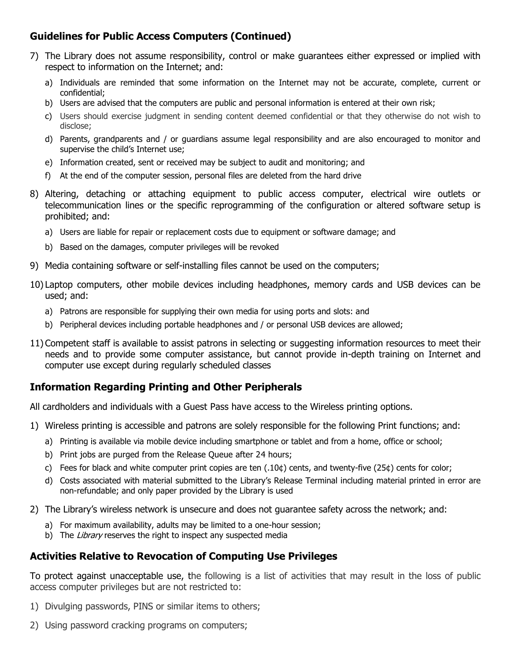# **Guidelines for Public Access Computers (Continued)**

- 7) The Library does not assume responsibility, control or make guarantees either expressed or implied with respect to information on the Internet; and:
	- a) Individuals are reminded that some information on the Internet may not be accurate, complete, current or confidential;
	- b) Users are advised that the computers are public and personal information is entered at their own risk;
	- c) Users should exercise judgment in sending content deemed confidential or that they otherwise do not wish to disclose;
	- d) Parents, grandparents and / or guardians assume legal responsibility and are also encouraged to monitor and supervise the child's Internet use;
	- e) Information created, sent or received may be subject to audit and monitoring; and
	- f) At the end of the computer session, personal files are deleted from the hard drive
- 8) Altering, detaching or attaching equipment to public access computer, electrical wire outlets or telecommunication lines or the specific reprogramming of the configuration or altered software setup is prohibited; and:
	- a) Users are liable for repair or replacement costs due to equipment or software damage; and
	- b) Based on the damages, computer privileges will be revoked
- 9) Media containing software or self-installing files cannot be used on the computers;
- 10) Laptop computers, other mobile devices including headphones, memory cards and USB devices can be used; and:
	- a) Patrons are responsible for supplying their own media for using ports and slots: and
	- b) Peripheral devices including portable headphones and / or personal USB devices are allowed;
- 11) Competent staff is available to assist patrons in selecting or suggesting information resources to meet their needs and to provide some computer assistance, but cannot provide in-depth training on Internet and computer use except during regularly scheduled classes

## **Information Regarding Printing and Other Peripherals**

All cardholders and individuals with a Guest Pass have access to the Wireless printing options.

- 1) Wireless printing is accessible and patrons are solely responsible for the following Print functions; and:
	- a) Printing is available via mobile device including smartphone or tablet and from a home, office or school;
	- b) Print jobs are purged from the Release Queue after 24 hours;
	- c) Fees for black and white computer print copies are ten  $(.10¢)$  cents, and twenty-five  $(25¢)$  cents for color;
	- d) Costs associated with material submitted to the Library's Release Terminal including material printed in error are non-refundable; and only paper provided by the Library is used
- 2) The Library's wireless network is unsecure and does not guarantee safety across the network; and:
	- a) For maximum availability, adults may be limited to a one-hour session;
	- b) The Library reserves the right to inspect any suspected media

## **Activities Relative to Revocation of Computing Use Privileges**

To protect against unacceptable use, the following is a list of activities that may result in the loss of public access computer privileges but are not restricted to:

- 1) Divulging passwords, PINS or similar items to others;
- 2) Using password cracking programs on computers;